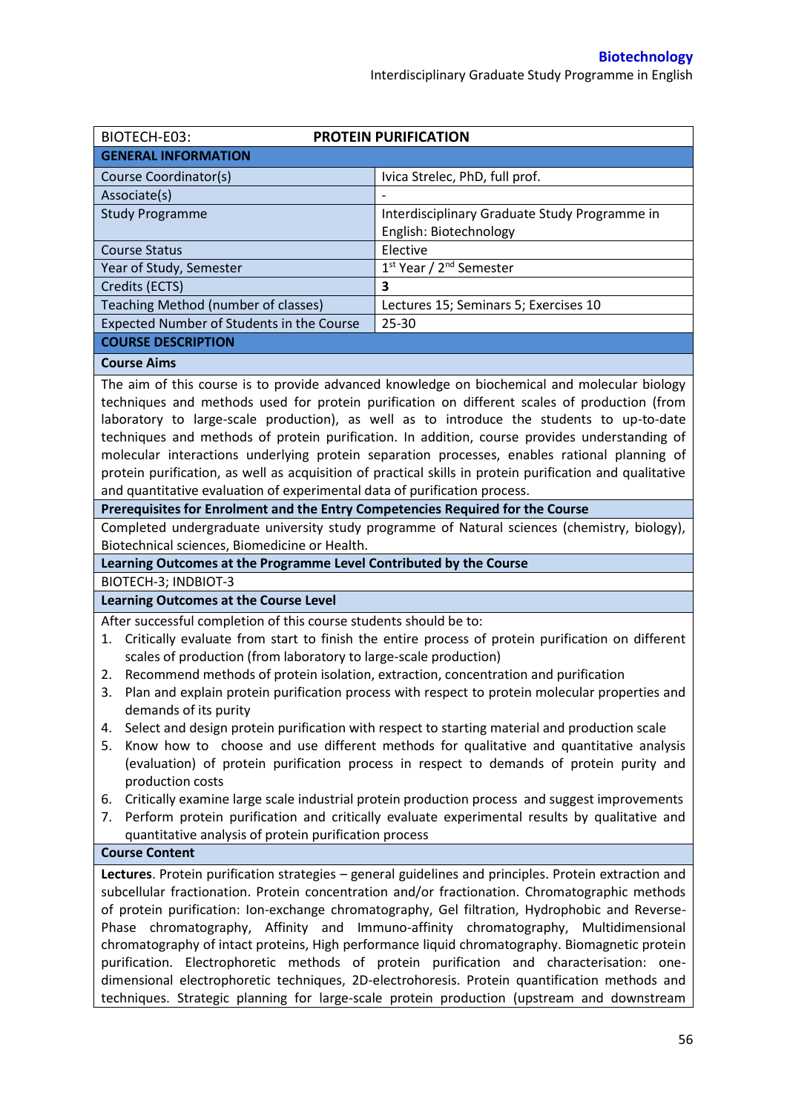| BIOTECH-E03:                                                                                                                                                                                                                                                                                                                                                                                                                                                                                                                                                                                                                                                                        | <b>PROTEIN PURIFICATION</b>                                                                  |  |  |  |
|-------------------------------------------------------------------------------------------------------------------------------------------------------------------------------------------------------------------------------------------------------------------------------------------------------------------------------------------------------------------------------------------------------------------------------------------------------------------------------------------------------------------------------------------------------------------------------------------------------------------------------------------------------------------------------------|----------------------------------------------------------------------------------------------|--|--|--|
| <b>GENERAL INFORMATION</b>                                                                                                                                                                                                                                                                                                                                                                                                                                                                                                                                                                                                                                                          |                                                                                              |  |  |  |
| Course Coordinator(s)                                                                                                                                                                                                                                                                                                                                                                                                                                                                                                                                                                                                                                                               | Ivica Strelec, PhD, full prof.                                                               |  |  |  |
| Associate(s)                                                                                                                                                                                                                                                                                                                                                                                                                                                                                                                                                                                                                                                                        |                                                                                              |  |  |  |
| <b>Study Programme</b>                                                                                                                                                                                                                                                                                                                                                                                                                                                                                                                                                                                                                                                              | Interdisciplinary Graduate Study Programme in                                                |  |  |  |
|                                                                                                                                                                                                                                                                                                                                                                                                                                                                                                                                                                                                                                                                                     | English: Biotechnology                                                                       |  |  |  |
| <b>Course Status</b>                                                                                                                                                                                                                                                                                                                                                                                                                                                                                                                                                                                                                                                                | Elective                                                                                     |  |  |  |
| Year of Study, Semester                                                                                                                                                                                                                                                                                                                                                                                                                                                                                                                                                                                                                                                             | 1 <sup>st</sup> Year / 2 <sup>nd</sup> Semester                                              |  |  |  |
| Credits (ECTS)                                                                                                                                                                                                                                                                                                                                                                                                                                                                                                                                                                                                                                                                      | 3                                                                                            |  |  |  |
| Teaching Method (number of classes)                                                                                                                                                                                                                                                                                                                                                                                                                                                                                                                                                                                                                                                 | Lectures 15; Seminars 5; Exercises 10                                                        |  |  |  |
| Expected Number of Students in the Course                                                                                                                                                                                                                                                                                                                                                                                                                                                                                                                                                                                                                                           | $25 - 30$                                                                                    |  |  |  |
| <b>COURSE DESCRIPTION</b>                                                                                                                                                                                                                                                                                                                                                                                                                                                                                                                                                                                                                                                           |                                                                                              |  |  |  |
| <b>Course Aims</b>                                                                                                                                                                                                                                                                                                                                                                                                                                                                                                                                                                                                                                                                  |                                                                                              |  |  |  |
| The aim of this course is to provide advanced knowledge on biochemical and molecular biology<br>techniques and methods used for protein purification on different scales of production (from<br>laboratory to large-scale production), as well as to introduce the students to up-to-date<br>techniques and methods of protein purification. In addition, course provides understanding of<br>molecular interactions underlying protein separation processes, enables rational planning of<br>protein purification, as well as acquisition of practical skills in protein purification and qualitative<br>and quantitative evaluation of experimental data of purification process. |                                                                                              |  |  |  |
| Prerequisites for Enrolment and the Entry Competencies Required for the Course                                                                                                                                                                                                                                                                                                                                                                                                                                                                                                                                                                                                      |                                                                                              |  |  |  |
|                                                                                                                                                                                                                                                                                                                                                                                                                                                                                                                                                                                                                                                                                     | Completed undergraduate university study programme of Natural sciences (chemistry, biology), |  |  |  |
| Biotechnical sciences, Biomedicine or Health.                                                                                                                                                                                                                                                                                                                                                                                                                                                                                                                                                                                                                                       |                                                                                              |  |  |  |
| Learning Outcomes at the Programme Level Contributed by the Course                                                                                                                                                                                                                                                                                                                                                                                                                                                                                                                                                                                                                  |                                                                                              |  |  |  |
| BIOTECH-3; INDBIOT-3                                                                                                                                                                                                                                                                                                                                                                                                                                                                                                                                                                                                                                                                |                                                                                              |  |  |  |
| <b>Learning Outcomes at the Course Level</b>                                                                                                                                                                                                                                                                                                                                                                                                                                                                                                                                                                                                                                        |                                                                                              |  |  |  |
| After successful completion of this course students should be to:                                                                                                                                                                                                                                                                                                                                                                                                                                                                                                                                                                                                                   |                                                                                              |  |  |  |
| Critically evaluate from start to finish the entire process of protein purification on different<br>1.                                                                                                                                                                                                                                                                                                                                                                                                                                                                                                                                                                              |                                                                                              |  |  |  |
| scales of production (from laboratory to large-scale production)                                                                                                                                                                                                                                                                                                                                                                                                                                                                                                                                                                                                                    |                                                                                              |  |  |  |
| Recommend methods of protein isolation, extraction, concentration and purification<br>2.                                                                                                                                                                                                                                                                                                                                                                                                                                                                                                                                                                                            |                                                                                              |  |  |  |
| Plan and explain protein purification process with respect to protein molecular properties and<br>3.                                                                                                                                                                                                                                                                                                                                                                                                                                                                                                                                                                                |                                                                                              |  |  |  |
| demands of its purity                                                                                                                                                                                                                                                                                                                                                                                                                                                                                                                                                                                                                                                               |                                                                                              |  |  |  |
| Select and design protein purification with respect to starting material and production scale<br>4.                                                                                                                                                                                                                                                                                                                                                                                                                                                                                                                                                                                 |                                                                                              |  |  |  |
| Know how to choose and use different methods for qualitative and quantitative analysis<br>5.<br>(evaluation) of protein purification process in respect to demands of protein purity and                                                                                                                                                                                                                                                                                                                                                                                                                                                                                            |                                                                                              |  |  |  |
| production costs                                                                                                                                                                                                                                                                                                                                                                                                                                                                                                                                                                                                                                                                    |                                                                                              |  |  |  |
| Critically examine large scale industrial protein production process and suggest improvements<br>6.                                                                                                                                                                                                                                                                                                                                                                                                                                                                                                                                                                                 |                                                                                              |  |  |  |
| 7.                                                                                                                                                                                                                                                                                                                                                                                                                                                                                                                                                                                                                                                                                  | Perform protein purification and critically evaluate experimental results by qualitative and |  |  |  |
| quantitative analysis of protein purification process                                                                                                                                                                                                                                                                                                                                                                                                                                                                                                                                                                                                                               |                                                                                              |  |  |  |
| <b>Course Content</b>                                                                                                                                                                                                                                                                                                                                                                                                                                                                                                                                                                                                                                                               |                                                                                              |  |  |  |
| Lectures. Protein purification strategies - general guidelines and principles. Protein extraction and                                                                                                                                                                                                                                                                                                                                                                                                                                                                                                                                                                               |                                                                                              |  |  |  |
| subcellular fractionation. Protein concentration and/or fractionation. Chromatographic methods<br>of protein purification: Ion-exchange chromatography, Gel filtration, Hydrophobic and Reverse-<br>Phase chromatography, Affinity and Immuno-affinity chromatography, Multidimensional<br>chromatography of intact proteins, High performance liquid chromatography. Biomagnetic protein<br>purification. Electrophoretic methods of protein purification and characterisation: one-<br>dimensional electrophoretic techniques, 2D-electrohoresis. Protein quantification methods and                                                                                              |                                                                                              |  |  |  |
| techniques. Strategic planning for large-scale protein production (upstream and downstream                                                                                                                                                                                                                                                                                                                                                                                                                                                                                                                                                                                          |                                                                                              |  |  |  |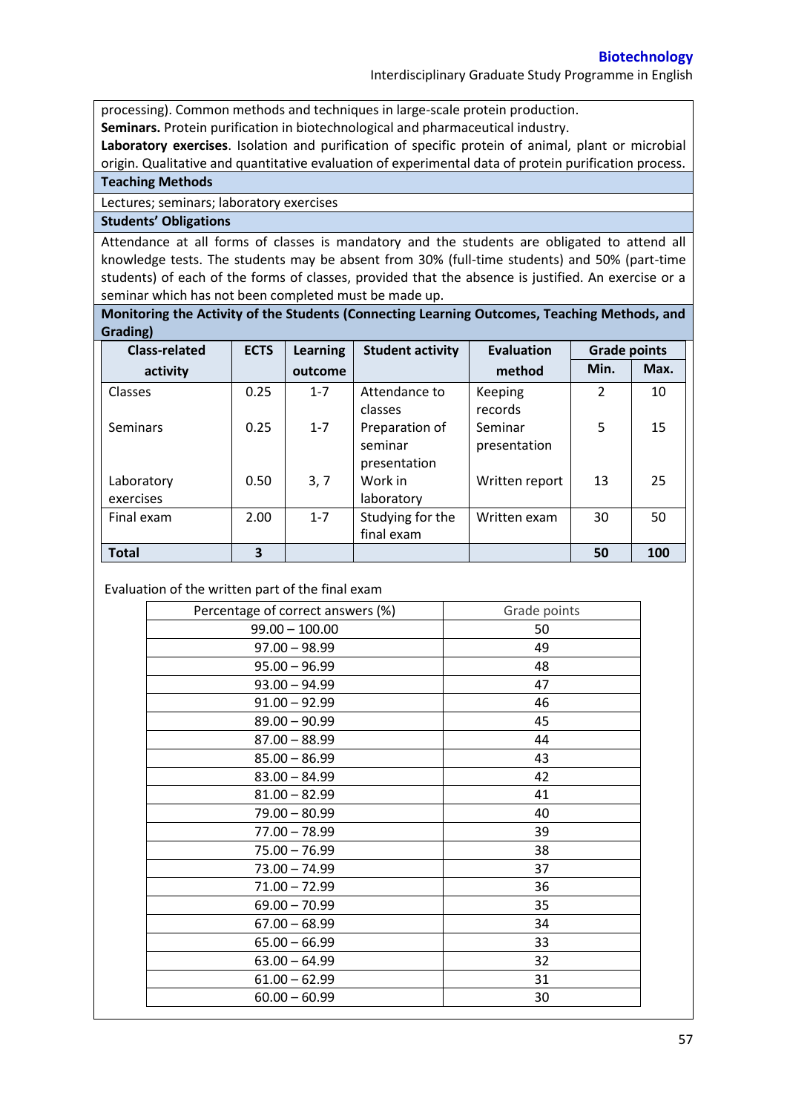Interdisciplinary Graduate Study Programme in English

processing). Common methods and techniques in large-scale protein production.

**Seminars.** Protein purification in biotechnological and pharmaceutical industry.

**Laboratory exercises**. Isolation and purification of specific protein of animal, plant or microbial origin. Qualitative and quantitative evaluation of experimental data of protein purification process.

**Teaching Methods**

Lectures; seminars; laboratory exercises

## **Students' Obligations**

Attendance at all forms of classes is mandatory and the students are obligated to attend all knowledge tests. The students may be absent from 30% (full-time students) and 50% (part-time students) of each of the forms of classes, provided that the absence is justified. An exercise or a seminar which has not been completed must be made up.

**Monitoring the Activity of the Students (Connecting Learning Outcomes, Teaching Methods, and Grading)**

| <b>Class-related</b>    | <b>ECTS</b> | <b>Learning</b> | <b>Student activity</b>                   | <b>Evaluation</b>       | <b>Grade points</b> |      |
|-------------------------|-------------|-----------------|-------------------------------------------|-------------------------|---------------------|------|
| activity                |             | outcome         |                                           | method                  | Min.                | Max. |
| Classes                 | 0.25        | $1 - 7$         | Attendance to<br>classes                  | Keeping<br>records      | $\mathcal{P}$       | 10   |
| <b>Seminars</b>         | 0.25        | $1 - 7$         | Preparation of<br>seminar<br>presentation | Seminar<br>presentation | 5                   | 15   |
| Laboratory<br>exercises | 0.50        | 3, 7            | Work in<br>laboratory                     | Written report          | 13                  | 25   |
| Final exam              | 2.00        | $1 - 7$         | Studying for the<br>final exam            | Written exam            | 30                  | 50   |
| <b>Total</b>            | 3           |                 |                                           |                         | 50                  | 100  |

Evaluation of the written part of the final exam

| Percentage of correct answers (%) | Grade points |
|-----------------------------------|--------------|
| $99.00 - 100.00$                  | 50           |
| $97.00 - 98.99$                   | 49           |
| $95.00 - 96.99$                   | 48           |
| $93.00 - 94.99$                   | 47           |
| $91.00 - 92.99$                   | 46           |
| $89.00 - 90.99$                   | 45           |
| $87.00 - 88.99$                   | 44           |
| $85.00 - 86.99$                   | 43           |
| $83.00 - 84.99$                   | 42           |
| $81.00 - 82.99$                   | 41           |
| $79.00 - 80.99$                   | 40           |
| $77.00 - 78.99$                   | 39           |
| $75.00 - 76.99$                   | 38           |
| $73.00 - 74.99$                   | 37           |
| $71.00 - 72.99$                   | 36           |
| $69.00 - 70.99$                   | 35           |
| $67.00 - 68.99$                   | 34           |
| $65.00 - 66.99$                   | 33           |
| $63.00 - 64.99$                   | 32           |
| $61.00 - 62.99$                   | 31           |
| $60.00 - 60.99$                   | 30           |